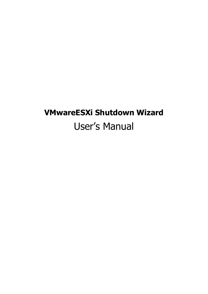# **VMwareESXi Shutdown Wizard**  User's Manual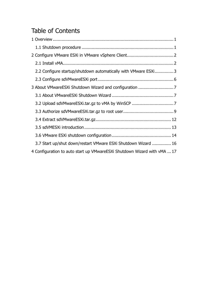# Table of Contents

| 2.2 Configure startup/shutdown automatically with VMware ESXi3           |  |
|--------------------------------------------------------------------------|--|
|                                                                          |  |
|                                                                          |  |
|                                                                          |  |
|                                                                          |  |
|                                                                          |  |
|                                                                          |  |
|                                                                          |  |
|                                                                          |  |
| 3.7 Start up/shut down/restart VMware ESXi Shutdown Wizard  16           |  |
| 4 Configuration to auto start up VMwareESXi Shutdown Wizard with vMA  17 |  |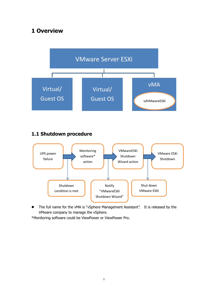# **1 Overview**



## **1.1 Shutdown procedure**



• The full name for the vMA is "vSphere Management Assistant". It is released by the VMware company to manage the vSphere.

\*Monitoring software could be ViewPower or ViewPower Pro.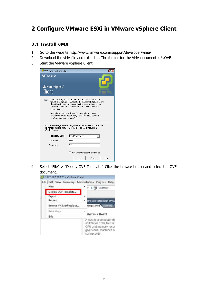# **2 Configure VMware ESXi in VMware vSphere Client**

### **2.1 Install vMA**

- 1. Go to the website http://www.vmware.com/support/developer/vima/
- 2. Download the vMA file and extract it. The format for the VMA document is \*.OVF.
- 3. Start the VMware vSphere Client.



4. Select "File" > "Deploy OVF Template". Click the browse button and select the OVF document.

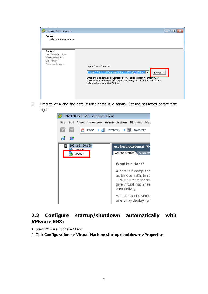

5. Execute vMA and the default user name is vi-admin. Set the password before first login



### **2.2 Configure startup/shutdown automatically with VMware ESXi**

- 1. Start VMware vSphere Client
- 2. Click **Configuration -> Virtual Machine startup/shutdown->Properties**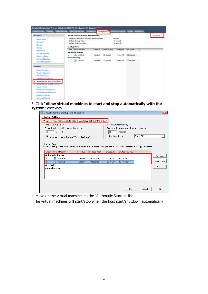| <b>Hardware</b>                                              |                                                                         | Virtual Machine Startup and Shutdown             |               |                                     |            | Properties |
|--------------------------------------------------------------|-------------------------------------------------------------------------|--------------------------------------------------|---------------|-------------------------------------|------------|------------|
| Health Stablis<br><b>Processors</b><br><b>Membry</b>         | Default Startup Delay<br>Default Shutdown Delay<br><b>Startup Order</b> | Start and Stop Virtual Machines with the system. |               | Enabled<br>10 seconds<br>30 seconds |            |            |
| <b>Stockton</b><br>Networking                                | Onter Netsul Machine                                                    | <b>Startup</b>                                   | Starbup Delay | ShubSown                            | Shutdown   |            |
| Strage Adapters<br>Network Adapters                          | <b>Automatic Startup</b><br>品<br><b>Manual Startus</b>                  | Enabled<br><b>WAAS.S</b>                         | 10 seconds    | Power Off                           | 30 seconds |            |
| Advanced Seltmin<br><b>Rower Management</b>                  | CentOS                                                                  | Disabled                                         | 10 seconds    | Power Off                           | 30 seconds |            |
| Software.                                                    |                                                                         |                                                  |               |                                     |            |            |
| Licensed Features:                                           |                                                                         |                                                  |               |                                     |            |            |
| Time Configuration                                           |                                                                         |                                                  |               |                                     |            |            |
| DNS and Routing                                              |                                                                         |                                                  |               |                                     |            |            |
| Authentication Services<br>Virtual Machine, Starbup/Shutdown |                                                                         |                                                  |               |                                     |            |            |
| <b>Virtual Machine SWagnie Localion</b>                      |                                                                         |                                                  |               |                                     |            |            |
| Settleby Profile                                             |                                                                         |                                                  |               |                                     |            |            |
| Host Carbe Configuration                                     |                                                                         |                                                  |               |                                     |            |            |
| System Resource Allocation                                   |                                                                         |                                                  |               |                                     |            |            |
| Agent VM Settings                                            |                                                                         |                                                  |               |                                     |            |            |
| Advanced Settings                                            |                                                                         |                                                  |               |                                     |            |            |

#### 3. Click "**Allow virtual machines to start and stop automatically with the system**" checkbox.

| ⊽                | Allow virtual machines to start and stop automatically with the system                                                                                                  |                    |                          |                        |                                               |           |                      |
|------------------|-------------------------------------------------------------------------------------------------------------------------------------------------------------------------|--------------------|--------------------------|------------------------|-----------------------------------------------|-----------|----------------------|
|                  | Default Startup Delay                                                                                                                                                   |                    |                          |                        | Default Shutdown Delay                        |           |                      |
|                  | For each virtual machine, delay startup for:                                                                                                                            |                    |                          |                        | For each virtual machine, delay shutdown for: |           |                      |
| 10               | seconds                                                                                                                                                                 |                    |                          | 130                    | seconds                                       |           |                      |
| ⊽                | Continue immediately if the VMware Tools start                                                                                                                          |                    |                          | Shutdown Action:       |                                               | Power Off |                      |
| Order            | <b>Startup Order</b><br>Power on the specified virtual machines when the system starts. During shutdown, they will be stopped in the opposite order.<br>Virtual Machine | Startup            | Startup Delay            | Shutdown               | Shutdown Delay                                |           |                      |
|                  | Automatic Startup                                                                                                                                                       |                    |                          |                        |                                               |           |                      |
| $\overline{c}$   | 囹<br>vMA5.5<br>CentOS                                                                                                                                                   | Enabled<br>Enabled | 10 seconds<br>10 seconds | Power Off<br>Power Off | 30 seconds<br>30 seconds                      |           |                      |
| <b>Any Order</b> | 咼                                                                                                                                                                       |                    |                          |                        |                                               |           | Move Up<br>Move Down |
|                  | <b>Manual Startup</b>                                                                                                                                                   |                    |                          |                        |                                               |           | Edit                 |
|                  |                                                                                                                                                                         |                    |                          |                        |                                               |           |                      |
|                  |                                                                                                                                                                         |                    |                          |                        |                                               |           |                      |

4. Move up the virtual machines to the "Automatic Startup" list

The virtual machines will start/stop when the host start/shutdown automatically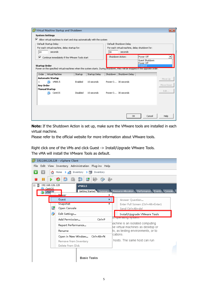|                        | Virtual Machine Startup and Shutdown                                                                                         |          |               |          |                                               |                      | $\mathbf{z}$ |
|------------------------|------------------------------------------------------------------------------------------------------------------------------|----------|---------------|----------|-----------------------------------------------|----------------------|--------------|
| <b>System Settings</b> |                                                                                                                              |          |               |          |                                               |                      |              |
| ⊽                      | Allow virtual machines to start and stop automatically with the system                                                       |          |               |          |                                               |                      |              |
|                        | Default Startup Delay                                                                                                        |          |               |          | Default Shutdown Delay                        |                      |              |
|                        | For each virtual machine, delay startup for:                                                                                 |          |               |          | For each virtual machine, delay shutdown for: |                      |              |
| 10                     | seconds                                                                                                                      |          |               | 30       | seconds                                       |                      |              |
| ⊽                      | Continue immediately if the VMware Tools start                                                                               |          |               |          | Shutdown Action:                              | Power Off            |              |
|                        |                                                                                                                              |          |               |          |                                               | Guest Shutdown       |              |
| <b>Startup Order</b>   |                                                                                                                              |          |               |          |                                               | Power Off<br>Suspend |              |
|                        | Power on the specified virtual machines when the system starts. During shutdown, they will be stopped in the opposite order. |          |               |          |                                               |                      |              |
| Order                  | Virtual Machine                                                                                                              | Startup  | Startup Delay | Shutdown | Shutdown Delay                                |                      |              |
|                        | <b>Automatic Startup</b>                                                                                                     |          |               |          |                                               |                      | Move Up      |
| 1                      | 咼<br>vMA5.5                                                                                                                  | Enabled  | 10 seconds    |          | Power O 30 seconds                            |                      |              |
| Any Order              |                                                                                                                              |          |               |          |                                               |                      | Move Down    |
|                        | <b>Manual Startup</b>                                                                                                        |          |               |          |                                               |                      | Edit         |
|                        | CentOS<br>師                                                                                                                  | Disabled | 10 seconds    |          | Power O 30 seconds                            |                      |              |
|                        |                                                                                                                              |          |               |          |                                               |                      |              |
|                        |                                                                                                                              |          |               |          |                                               |                      |              |
|                        |                                                                                                                              |          |               |          |                                               |                      |              |
|                        |                                                                                                                              |          |               |          |                                               |                      |              |
|                        |                                                                                                                              |          |               |          | OK                                            | Cancel               | Help         |
|                        |                                                                                                                              |          |               |          |                                               |                      |              |

**Note:** If the Shutdown Action is set up, make sure the VMware tools are installed in each virtual machine.

Please refer to the official website for more information about VMware tools.

Right click one of the VMs and click Guest -> Install/Upgrade VMware Tools. The vMA will install the VMware Tools as default.

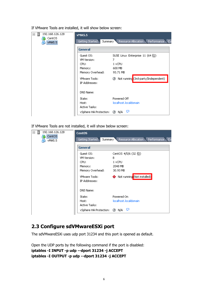| ◨<br>192.168.126.128<br>$\boxminus$<br>CentOS<br>vMA5.5 | <b>vMA5.5</b><br>Summary Resource Allocation Performance Ev<br>Getting Started |                                                          |  |  |  |  |  |  |
|---------------------------------------------------------|--------------------------------------------------------------------------------|----------------------------------------------------------|--|--|--|--|--|--|
|                                                         | <b>General</b>                                                                 |                                                          |  |  |  |  |  |  |
|                                                         | Guest OS:                                                                      | SUSE Linux Enterprise 11 (64 $\overleftrightarrow{12}$ ) |  |  |  |  |  |  |
|                                                         | VM Version:                                                                    | 7                                                        |  |  |  |  |  |  |
|                                                         | CPU:                                                                           | 1 vCPU                                                   |  |  |  |  |  |  |
|                                                         | Memory:                                                                        | 600 MB                                                   |  |  |  |  |  |  |
|                                                         | Memory Overhead:                                                               | 93.71 MB                                                 |  |  |  |  |  |  |
|                                                         | <b>VMware Tools:</b><br>IP Addresses:                                          | <b>②</b> Not running (3rd-party/Independent)             |  |  |  |  |  |  |
|                                                         | DNS Name:                                                                      |                                                          |  |  |  |  |  |  |
|                                                         | State:                                                                         | Powered Off                                              |  |  |  |  |  |  |
|                                                         | Host:                                                                          | localhost.localdomain                                    |  |  |  |  |  |  |
|                                                         | Active Tasks:                                                                  |                                                          |  |  |  |  |  |  |
|                                                         | vSphere HA Protection: ② N/A                                                   | ₽                                                        |  |  |  |  |  |  |

If VMware Tools are installed, it will show below screen:

If VMware Tools are not installed, it will show below screen:

| 日目<br>192.168.126.128<br>CentOS<br>vMA5.5 | <b>CentOS</b><br>Getting Started<br>Summary " | Resource Allocation Performance Ev |
|-------------------------------------------|-----------------------------------------------|------------------------------------|
|                                           | <b>General</b>                                |                                    |
|                                           | Guest OS:<br>VM Version:                      | CentOS 4/5/6 (32 位)<br>8.          |
|                                           | CPU:                                          | 1 vCPU                             |
|                                           | Memory:                                       | 2048 MB                            |
|                                           | Memory Overhead:                              | 30.93 MB                           |
|                                           | <b>VMware Tools:</b><br>IP Addresses:         | Not running (Not installed)        |
|                                           | DNS Name:                                     |                                    |
|                                           | State:                                        | Powered On                         |
|                                           | Host:<br>Active Tasks:                        | localhost.localdomain.             |
|                                           | vSphere HA Protection:                        | Q<br>② N/A                         |

### **2.3 Configure sdVMwareESXi port**

The sdVMwareESXi uses udp port 31234 and this port is opened as default.

```
Open the UDP ports by the following command if the port is disabled:
iptables -I INPUT -p udp --dport 31234 -j ACCEPT
iptables -I OUTPUT -p udp --dport 31234 -j ACCEPT
```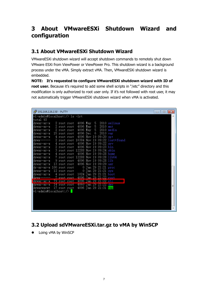# **3 About VMwareESXi Shutdown Wizard and configuration**

# **3.1 About VMwareESXi Shutdown Wizard**

VMwareESXi shutdown wizard will accept shutdown commands to remotely shut down VMware ESXi from ViewPower or ViewPower Pro. This shutdown wizard is a background process under the vMA. Simply extract vMA. Then, VMwareESXi shutdown wizard is embedded.

**NOTE: It's requested to configure VMwareESXi shutdown wizard with ID of**  root user. Because it's required to add some shell scripts in "/etc" directory and this modification is only authorized to root user only. If it's not followed with root user, it may not automatically trigger VMwareESXi shutdown wizard when vMA is activated.

| <b>少</b> 192.168.126.130 - PuTTY |                                           |                         |                    |  | $\Box$<br>$\mathbf{x}$<br>- |
|----------------------------------|-------------------------------------------|-------------------------|--------------------|--|-----------------------------|
|                                  | vi-admin@localhost:/> ls -lrt             |                         |                    |  |                             |
| ltotal 93                        |                                           |                         |                    |  |                             |
| drwxr-xr-x                       | 2 root root 4096 May 5 2010 selinux       |                         |                    |  |                             |
| drwxr-xr-x                       | 2 root root 4096 May 5 2010 mmt           |                         |                    |  |                             |
| drwxr-xr-x                       | 2 root root 4096 May 5 2010 media         |                         |                    |  |                             |
| drwxr-xr-x                       | 15 root root                              | 4096 Dec                | 6 2010 var         |  |                             |
| drwxr-xr-x                       | 4 root root 4096 Nov 19 09:20 opt         |                         |                    |  |                             |
| drwx---                          | 2 root root 16384 Nov 19 09:22 lost+found |                         |                    |  |                             |
| drwxr-xr-x                       | 4 root root 4096 Nov 19 09:22 srv         |                         |                    |  |                             |
| drwxr-xr-x                       | 2 root root 4096 Nov 19 09:23 bin         |                         |                    |  |                             |
| drwxr-xr-x                       | 3 root root 12288 Nov 19 09:24 sbin       |                         |                    |  |                             |
| drwxr-xr-x                       | 4 root root 4096 Nov 19 09:28 home        |                         |                    |  |                             |
| drwxr-xr-x                       | 7 root root 12288 Nov 19 09:28 lib64      |                         |                    |  |                             |
| drwxr-xr-x                       | 9 root root 4096 Nov 19 09:28 lib         |                         |                    |  |                             |
| drwxr-xr-x                       | 13 root root 4096 Nov 19 09:29 usr        |                         |                    |  |                             |
|                                  | dr-xr-xr-x 100 root root                  | 0 Jan 29 21:21 proc     |                    |  |                             |
| drwxr-xr-x                       | 12 root root                              |                         | 0 Jan 29 21:21 sys |  |                             |
| drwxr-xr-x                       | 4 root root 1024 Jan 29 21:21 boot        |                         |                    |  |                             |
| ldrwx==                          | 7 root root -4096 Tan 29 21:22 root       |                         |                    |  |                             |
| drwxr=xr=x                       | 79 root root                              | – 4096 Tan 29 21:22 etc |                    |  |                             |
| drwxr-xr-x                       | - 14 root root - 4060 Jan 29 21:22 dev    |                         |                    |  |                             |
|                                  | drwxrwxrwt 17 root root                   | 4096 Jan 29 21:31 tmp   |                    |  |                             |
|                                  |                                           |                         |                    |  |                             |
|                                  |                                           |                         |                    |  |                             |
|                                  |                                           |                         |                    |  |                             |
|                                  |                                           |                         |                    |  |                             |
|                                  |                                           |                         |                    |  |                             |
|                                  |                                           |                         |                    |  |                             |

# **3.2 Upload sdVMwareESXi.tar.gz to vMA by WinSCP**

 $\bullet$  Loing vMA by WinSCP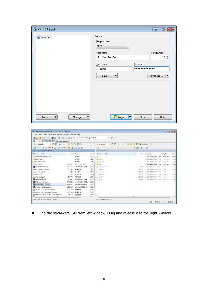| WinSCP Login              |                                                                                                                       | ▎▄▕▏▣▕ <mark>▏╳</mark>                                   |
|---------------------------|-----------------------------------------------------------------------------------------------------------------------|----------------------------------------------------------|
| New Site                  | Session<br>File protocol:<br><b>SFTP</b><br>۰<br>Host name:<br>192.168.126.130<br>User name:<br>vi-admin<br>Save<br>▼ | Port number:<br>22 승<br>Password:<br> <br>Advanced<br> ▼ |
| Tools<br>Manage<br>▼<br>▼ | $\Box$ Login<br>▼                                                                                                     | Close<br>Help                                            |

| Mr Dewrinad: : student@132.188.126.130 - WinTOP       |           |                                          |           |                                                  |                                                                                                                          |                       | <b>CONTRACTOR</b>  |                |
|-------------------------------------------------------|-----------|------------------------------------------|-----------|--------------------------------------------------|--------------------------------------------------------------------------------------------------------------------------|-----------------------|--------------------|----------------|
| Local Mark Flex Commands: Session Options Remote Help |           |                                          |           | 184.                                             |                                                                                                                          |                       |                    |                |
| HE CT Distyration and Ball CP LET                     |           | Chi - PQueue - Transfer Settings Octoutt |           | $-16.7$                                          |                                                                                                                          |                       |                    |                |
| -> ->cirrin@192.158.126.130   Maw Session             |           |                                          |           |                                                  |                                                                                                                          |                       |                    |                |
| + 唐图   ◆ - - - - 图 @ 俞 唐   弘<br>化の本地磁盘                |           |                                          |           | $-1$<br>Lill M-admin                             | <b>Control of the Control of Control Control Control Control Control Control Control Control Control Control Control</b> |                       |                    |                |
| di Upload al II Ede X an La Properties 12 ( B E E M   |           |                                          |           | University of the K of Company of Co I is little |                                                                                                                          |                       |                    |                |
| CALlearstadmintDewnloads                              |           |                                          |           | <b>Burns/H-kdms</b>                              |                                                                                                                          |                       |                    |                |
| Ext<br>Name                                           |           | Size: Type                               | Char *    | Ext<br>Name                                      |                                                                                                                          | Size Champed          | Rights.            | Our            |
| ShutclawyRemate Linux                                 |           | 双伸案                                      | 2521      | н.                                               |                                                                                                                          | 11/19/2014 SGRST PM   | Visited vs Y-50    | root           |
| SalarPawer                                            |           | 文件本                                      | 1/24      | <b>B</b> Spitz                                   |                                                                                                                          | 11/19/2014 Subsct PM  | Mont-infron-       | Vivad          |
| <b>EdlarPowerPro</b>                                  |           | 交換金                                      | 1/24      | a media                                          |                                                                                                                          | TECHNORIA SUBSITION.  | Perent cultival    | $+1$           |
| LDT Shirre                                            | 15,984.0  | 26.110年 支件                               | 11/3      | ill bin                                          |                                                                                                                          | 11/19/2014 5:39:27 PM | Penalty of Links   | vival.         |
| 图 36-100083-020.min                                   | 382 MB    | WinRAR ZIP FBILL                         | 1/30      | <b>Jakob History</b>                             | 39.51                                                                                                                    | 1/10/2215 5x42-82 AN/ | The control        | blicket.       |
| ill ann-2008-11-24 isn                                | 511 MB    | 膀胱交性                                     | 1/30      | - Libertino                                      | 1,211:9                                                                                                                  | 11/19/2014 Si20-30 PM | Fair Freem         | $-1 - 1 = 0$   |
| <b>Mitoriartus.ch</b>                                 | 421 8     | 明文様                                      | 2/2/      | <b>Clareate</b>                                  | LAST B                                                                                                                   | 11/10/2018 SUBST FM   | Digital Procession | <b>Wildell</b> |
| al desktopini.                                        | 282 E     | 長衛切像                                     | 10/3      | [1] imputes.                                     | <b>HELB</b>                                                                                                              | 11/19/2014 9-28-27 PM | <b>PMARALLINE</b>  | in all         |
| Pelvico soppell                                       | 157.68    | PDF OWN                                  | 1/14      | 11 avolte                                        | Lilleb                                                                                                                   | 11/19/2014 9/28/2T PM | Her F-             | Middle         |
| DHCPServer.pp                                         | 33, 144   | WinNAR ZIP FREE                          | 3/3/      | <b>CLARED</b>                                    |                                                                                                                          | MFB ILINGDA SINEY RA  | $394 + 044 + 444$  | Wind           |
| FAD and SOPato                                        | 54,583    | WHAR ZF HILL                             | 7/29      | 1115                                             |                                                                                                                          |                       |                    |                |
| Sid-Mware EX-Lange                                    | 69.675    | Wirk4R FMBD4t                            | 2/2/      |                                                  |                                                                                                                          |                       |                    |                |
| Sad vehicle 009-2014                                  | 8,188.600 | WinAAR 田橋立林                              | 1/30      |                                                  |                                                                                                                          |                       |                    |                |
| Ill dounty-12.04-server-(366.om                       | 675 MFB   | 読書文件                                     | 7/12      |                                                  |                                                                                                                          |                       |                    |                |
| ill uhuntu-14.10-desktop-1986.iso                     | 1.132 M.  | 排書文社                                     | 12/2      |                                                  |                                                                                                                          |                       |                    |                |
| WWw.are-vidiant-al-5.1.0-1281650.ava                  | 346 ME    | 应用程序                                     | $2/2/7 -$ |                                                  |                                                                                                                          |                       |                    |                |
|                                                       |           |                                          | ×         | 41                                               | m                                                                                                                        |                       |                    |                |

Find the sdVMwareESXi from left window. Drag and release it to the right window.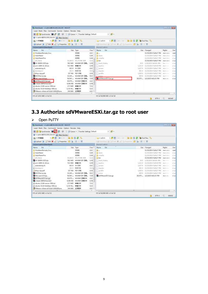| Local Mark Files Commands Session Options Nemote Help |               |                  |                    |                                                              |             |                          |                        |               |
|-------------------------------------------------------|---------------|------------------|--------------------|--------------------------------------------------------------|-------------|--------------------------|------------------------|---------------|
| Syndication DE Of Chairs - Transfer Settings Defeat   |               |                  |                    | $\cdot$ $\circ$                                              |             |                          |                        |               |
| w-admin@192.158.126.130 LS New Season                 |               |                  |                    |                                                              |             |                          |                        |               |
| + 唐图 1◆ -- - - - 画面命觀點<br>品の本地組織                      |               |                  |                    | · 通图   - - - 图画命题 编fed files file<br>Lill M-admin            |             |                          |                        |               |
| at Upload at It feet X and La Properties 12 in H = M  |               |                  |                    | University   Final 30 million   19 million   19 million   19 |             |                          |                        |               |
| CAUsard admini Dawranade                              |               |                  |                    | Baims/61-kdmst                                               |             |                          |                        |               |
| Eit<br>Name                                           |               | Size: Type       | Char <sup>ce</sup> | ÷<br>Ext<br><b>Name</b>                                      |             | Size Champed             | Rights.                | Own           |
| ShutdawnRemate Linux                                  |               | 双伸楽              | 2521               | 41 -                                                         |             | 11/19/2014 SORGT PM      | Visited very-st        | rooti         |
| SalarPawer                                            |               | 文件本              | 1/24               | <b>B</b> Spitz                                               |             | MAI TS/MIZZER ADDITIONAL | People in this         | VivanE        |
| <b>SolarPowerPro</b>                                  |               | 交換金              | 1/24               | an excella                                                   |             | TECHNORIA SUBJECT PM.    | Please's without       | $-1 - 20$     |
| LDT Sterre                                            | 10,000 0      | 26.110年 支件       | 11/3               | in bin                                                       |             | 11/19/2014 5:39:27 PM    | <b>Penalty of Link</b> | vi-ad.        |
| 图 96-100019-020.elp                                   | 382 MB        | WinRAR ZIP IBEL. | $-1/30$            | <b>Jakarly History</b>                                       | 39.5        | 1/10/2015 5:42-82 AN:    | The control            | <b>Middle</b> |
| ill ann-2008-11-24 is a                               | 511 MB        | 膀胱交性             | 1/30               | - Liautino                                                   | 1,211.9     | 11/19/2014 Si20-30 PM    | Fight Forest           | $-10.00$      |
| autostartusisch                                       | 421 8         | 明文様              | 2/2/               | Lieman                                                       | 1.517.B     | 11/10/2018 SIRET PM      | Ingly Present          | <b>Middle</b> |
| di desktroini.                                        | 282.8         | 斯顿切像             | 10/3               | $\Box$ arguing                                               | <b>HELB</b> | 11/19/2014 9:28:27 PM    | TRAINFLAND             | $14 + 44 + 2$ |
| <b>Require and B</b>                                  | 157 KB        | PDF OWN          | 1/14               | Li drefor                                                    | 1,016 B     | 11/19/2014 9/29/2T PM    | Hart Free              | Attack.       |
| DIKPServer.pp                                         | $33,344 -$    | WinNAR ZIP FHIL  | 取取                 | <b>S. Lutter</b>                                             | 347.11      | 11/19/2014 5/89/11 PM    | $394 + 6 + 1 + $       | M-ail         |
| <b>READ and SOR</b> rip                               | 54,583        | WHAR ZF FRA      | 7/29               | d viviwarati Xiange                                          | $69.975 -$  | 2/2/2015 4-11:33 PM      | <b>PWYP-HE-</b>        | vivant!       |
| sd-MwwreEEXitar.gz                                    | 69,675        | Wirk4R EMID 4t   | 2/21               |                                                              |             |                          |                        |               |
| M-boot-2009.0.Ltar.bo2                                | 8,188,920     | WinAAR 田橋立林      | 1/30               |                                                              |             |                          |                        |               |
| III ubuntu-12.04-server-1366.op.                      | 673 MFB       | 映画女は             | 7/12               |                                                              |             |                          |                        |               |
| ill uhuntu-14.10-desktop-1986.isa                     | $1.132 M_{-}$ | 排棄文社             | 12/2               |                                                              |             |                          |                        |               |
| WWw.are-vidiant-al-5.1.0-1281550.ava                  | 346 ME        | 应用程序             | 2/2/7              |                                                              |             |                          |                        |               |
| m                                                     |               |                  | ×                  | 41                                                           | m.          |                          |                        |               |

# **3.3 Authorize sdVMwareESXi.tar.gz to root user**

> Open PuTTY

| Local Mark Files Commands Session Options Nervote Help<br>田 Bi Dr Syndromias 国 D 田 |               | Di Douus - Transfer Settings Defectt |                    | $-16.1$                                                  |         |                              |                                         |                  |
|------------------------------------------------------------------------------------|---------------|--------------------------------------|--------------------|----------------------------------------------------------|---------|------------------------------|-----------------------------------------|------------------|
| - v-admin@192.158.126.130     New Session                                          |               |                                      |                    |                                                          |         |                              |                                         |                  |
| + 唐图   ◆ - - - - 图 @ 俞 唐   弘<br>化の本地磁素                                             |               |                                      |                    | · 通图   - - - 图 图 角 窗 角 Fed Files   Re<br>Lill vi-admin   |         |                              |                                         |                  |
| at Upload at It feet X and La Properties 12 ( E ) E = 10                           |               |                                      |                    | <b>NO HOLE OF CALIX AND SERVICE OF REAL PROPERTY AND</b> |         |                              |                                         |                  |
| CAUsard admini Dawnigade                                                           |               |                                      |                    | Raims/H-admin                                            |         |                              |                                         |                  |
| Eit<br>Name                                                                        |               | Size: Type                           | Char <sup>ce</sup> | ٠<br>Ext<br><b>Name</b>                                  |         | Size Changed                 | Rights                                  | Our              |
| ShutdawnRemate Linux                                                               |               | 双伸案                                  | 2525               | 41 -                                                     |         | 11/19/2014 SORGT PM          | Visited volt-to                         | root             |
| SalarPawer                                                                         |               | 文件本                                  | 1/24               | <b>B</b> Spitz                                           |         | M4 TSBS2 ADDITION            |                                         |                  |
| <b>SolarPowerPro</b>                                                               |               | 文件条                                  | 1/24               | an exilia                                                |         | TECHNORIA SUBJECT PIV.       | People in Frida                         | Virgil           |
| LDT Starre                                                                         | 10,000 0      | DE STORE 受得                          | 11/3               | lii bin                                                  |         | 11/19/2014 SOBOT PM          | Perent college<br><b>Penalty of the</b> | oti and<br>vival |
|                                                                                    |               |                                      |                    |                                                          |         |                              |                                         |                  |
| 图 36-100083-020.elp<br>Perry-2008-11-24-iss                                        | 582 MB        | WinRAR ZIP FREE<br>神楽文社              | 1/30<br>1/30       | <b>J. bash History</b>                                   | 39.51   | 1/10/2015 5x42-82 AN:        | The Committee                           | bi-ad            |
|                                                                                    | 511 MB        |                                      |                    | - Liambor                                                | 1,711 0 | 11/19/2014 Si20-30 PM        | Fight Forest                            | $-10 - 10$       |
| autostartusisch                                                                    | 421 8         | 94 京様                                | 2/2/               | Liensate                                                 | LAST.B  | 11/10/2018 SIMILT PM         | Ingels Brownston                        | <b>Wildell</b>   |
| al desktoperi.                                                                     | 282.8         | 指错切音                                 | 10/3               | <b>Clutestra</b>                                         | HEL B   | 11/19/2014 9:28:27 PM        | <b>PMARALLE</b>                         | $14 + 64$        |
| <b>Require and the</b>                                                             | 157.408       | PDF OWN                              | 1/14               | Li direttim                                              | LUIGD   | 11/19/2014 9/29/2T PM        | Hart Free                               | Aftail           |
| DIKPServer.pp                                                                      | $33.344 -$    | WinNAR ZIP FREE                      | 3032               | <b>Slavene</b>                                           | 347.11  | SALTED FIRED THAT            | The Extreme                             | Wind             |
| FAQ and \$07 zip.                                                                  | 54,583        | WHAR ZF HILL                         | 7/29               | advWww.EEXiBange                                         |         | 69.975 - 2/2/2015 4:01:33 PM | <b>PWYP-HESS</b>                        | Winds            |
| sd-MwwreEEXStangz                                                                  | 69.675 L      | Wirk4R EMID'4t                       | 2/21               |                                                          |         |                              |                                         |                  |
| Sport 1009201 turbo2                                                               | 8,188,920     | WinflAR 田橋立林                         | 1/30               |                                                          |         |                              |                                         |                  |
| III ubuntu-12.04-server-i366.og                                                    | 673 MFB       | 映象文件                                 | 7/12               |                                                          |         |                              |                                         |                  |
| ill ubuntu-14.10-desktop-1986.iso                                                  | $1.142 M_{-}$ | 进来文件                                 | 12/2               |                                                          |         |                              |                                         |                  |
| WWw.are-vidiant-al-5.1.0-1281650.ava<br>m                                          | 346 ME        | 应用程序                                 | 2/2/7<br>74        |                                                          | m.      |                              |                                         |                  |
| <b>DE of 5,431 Mill in D of 21</b>                                                 |               |                                      |                    | 0 B of 59,980 Kill in 0 of 10                            |         |                              |                                         |                  |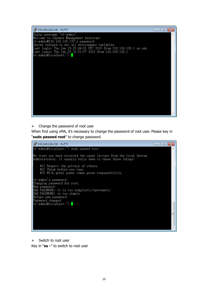

 $\triangleright$  Change the password of root user

When first using vMA, it's necessary to change the password of root user. Please key in "**sudo passwd root**" to change password.

2 192.168.126.130 - PuTTY  $\Box$   $\Box$   $\Box$ vi-admin@localhost:~> sudo passwd root We trust you have received the usual lecture from the local System Administrator. It usually boils down to these three things: #1) Respect the privacy of others.<br>#2) Think before you type.<br>#3) With great power comes great responsibility. vi-admin's password: Changing password for root. New password:<br>New password:<br>BAD PASSWORD: it is too simplistic/systematic<br>BAD PASSWORD: is too simple Retype new password: Password changed. vi-admin@localhost:^> Ė

 $\triangleright$  Switch to root user

Key in "**su -**" to switch to root user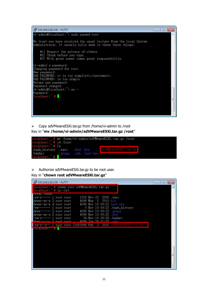

 Copy sdVMwareESXi.tar.gz from /home/vi-admin to /root Key in "**mv /home/vi-admin/sdVMwareESXi.tar.gz /root**"



 $\triangleright$  Authorize sdVMwareESXi.tar.gz to be root user.

#### Key in "**chown root sdVMwareESXi.tar.gz**"

| ₫ 192.168.126.130 - PuTTY                                                                                                                                                                                                                                             |                                                                                                                                                                                               | x<br><b>o</b><br>$\Box$ |
|-----------------------------------------------------------------------------------------------------------------------------------------------------------------------------------------------------------------------------------------------------------------------|-----------------------------------------------------------------------------------------------------------------------------------------------------------------------------------------------|-------------------------|
| localhost: # chown root sdVMwareESXi.tar.gz<br>localhost: # ls -lrt                                                                                                                                                                                                   |                                                                                                                                                                                               |                         |
| otal ruusu<br>-rw-r----- 1 root root<br>drwxr-xr-x 2 root root<br>drwxr-xr-x 4 root root<br>-rw------- 1 root root<br>drwx------ 2 root root<br>drwxr-xr-x 2 root root<br>-rw-r----- l root root<br>$4096$ T <sub>an</sub> 20 $21 \cdot 22$<br>trwy------ 2 root root | 1332 Nov 23 2005 .exrc<br>4096 May 5 2010 bin<br>4096 Nov 19 09:21 inst-sys<br>0 Nov 19 09:23 .bash history<br>4096 Nov 19 09:23 . gnupg<br>4096 Nov 19 09:25 .kbd<br>34 Nov 19 09:28 .bashrc |                         |
| - 1 root root 71653996 Feb  2  2015 sdVMwareESXi.tar.gz                                                                                                                                                                                                               |                                                                                                                                                                                               |                         |
| $1$ ocalhost: $\textcolor{red}{\mathbf{H}}$ .                                                                                                                                                                                                                         |                                                                                                                                                                                               |                         |
|                                                                                                                                                                                                                                                                       |                                                                                                                                                                                               |                         |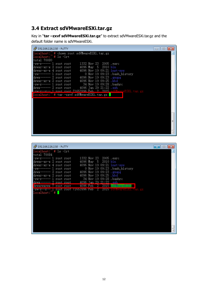## **3.4 Extract sdVMwareESXi.tar.gz**

Key in "**tar –zxvf sdVMwareESXi.tar.gz**" to extract sdVMwareESXi.tar.gz and the default folder name is sdVMwareESXi.

| PuTTY 192.168.126.130 - PuTTY                               | E |
|-------------------------------------------------------------|---|
| localhost: # chown root sdVMwareESXi.tar.gz                 | Ł |
| $localhost:$ # $ls$ -lrt                                    |   |
| total 70080                                                 |   |
| 1332 Nov 23 2005 .exrc<br>-rw-r----- 1 root root            |   |
| drwxr-xr-x 2 root root<br>4096 May 5 2010 bin               |   |
| 4096 Nov 19 09:21 inst-sys<br>drwxr-xr-x 4 root root        |   |
| 0 Nov 19 09:23 .bash_history<br>-rw------- 1 root root      |   |
| 4096 Nov 19 09:23 .gnupg<br>drwx------ 2 root root          |   |
| 4096 Nov 19 09:25 .kbd<br> drwxr-xr-x 2 root root           |   |
| 34 Nov 19 09:28 .bashrc<br>-rw-r----- l root root           |   |
|                                                             |   |
|                                                             |   |
| localhost: ` # tar -zxvf sdVMwareESXi.tar.gz <mark> </mark> |   |
|                                                             |   |
|                                                             |   |
|                                                             |   |
|                                                             |   |
|                                                             |   |
|                                                             |   |
|                                                             |   |
|                                                             |   |
|                                                             |   |
|                                                             |   |
|                                                             |   |

| £ 192.168.126.130 - PuTTY                                                   | e |
|-----------------------------------------------------------------------------|---|
| localhost: " # ls -lrt                                                      | ٠ |
| total 70084                                                                 |   |
| 1332 Nov 23 2005 .exrc<br>-rw-r----- 1 root root<br>drwxr-xr-x 2 root root  |   |
| 4096 May 5 2010 bin<br>4096 Nov 19 09:21 inst-sys<br>drwxr-xr-x 4 root root |   |
| 0 Nov 19 09:23 .bash_history<br>-rw------- 1 root root                      |   |
| drwx------ 2 root root<br>4096 Nov 19 09:23 . gnupg                         |   |
| drwxr-xr-x 2 root root<br>4096 Nov 19 09:25 .kbd                            |   |
| 34 Nov 19 09:28 .bashrc<br>-rw-r----- l root root                           |   |
| drwx------ 2 root root<br>-29-21:22 - seh<br>$4096$ $Tan$                   |   |
| 2015<br>4096 Feb<br>2.<br>drwxrwxrwx 7 root root<br>VMwareKX                |   |
|                                                                             |   |
| $\texttt{localhost:}$ # $\blacksquare$                                      |   |
|                                                                             |   |
|                                                                             |   |
|                                                                             |   |
|                                                                             |   |
|                                                                             |   |
|                                                                             |   |
|                                                                             |   |
|                                                                             |   |
|                                                                             |   |
|                                                                             |   |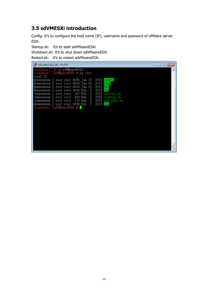# **3.5 sdVMESXi introduction**

Config: It's to configure the host name (IP), username and password of vMWare server ESXi.

Startup.sh: It's to start sdVMwareESXi.

Shutdown.sh: It's to shut down sdVMwareESXi.

Restart.sh: It's to restart sdVMwareESXi.

| ₫ 192.168.126.130 - PuTTY                                                  | e                         |
|----------------------------------------------------------------------------|---------------------------|
| localhost: # cd sdVMwareESXi/                                              | ٠                         |
| localhost:~/sdVMwareESXi # ls −lrt                                         |                           |
| total 32                                                                   |                           |
| drwxrwxrwx 2 root root 4096 Jan 30                                         | $2015$ config             |
| drwxrwxrwx 8 root root 4096 Jan 30                                         | $2015$ ireb               |
| drwxrwxrwx 2 root root 4096 Jan 30                                         | - 2015 bin                |
| drwxrwxrwx 2 root root 4096 Feb - 2 - 2015 <mark>Los</mark>                |                           |
| -rwxrwxrwx 1 root root<br>-rwxrwxrwx 1 root root 429 Feb 2 2015 startup.sh | 397 Feb 2 2015 restart.sh |
| -rwxrwxrwx 1 root root 133 Feb 2 2015 shutdown.sh                          |                           |
| drwxrwxrwx 2 root root 4096 Feb                                            | 2 2015 lib                |
| localhost:~/sdVMwareESXi #                                                 |                           |
|                                                                            |                           |
|                                                                            |                           |
|                                                                            |                           |
|                                                                            |                           |
|                                                                            |                           |
|                                                                            |                           |
|                                                                            |                           |
|                                                                            |                           |
|                                                                            |                           |
|                                                                            |                           |
|                                                                            |                           |
|                                                                            |                           |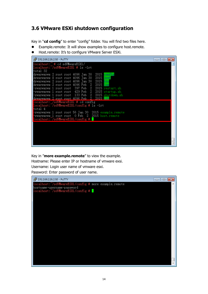### **3.6 VMware ESXi shutdown configuration**

Key in "**cd config**" to enter "config" folder. You will find two files here.

- Example.remote: It will show examples to configure host.remote.
- Host.remote: It's to configure VMware Server ESXi.

| localhost: # cd sdVMwareESXi/<br>٠<br>localhost: /sdVMwareESXi # ls -lrt<br>total 32<br>drwxrwxrwx 2 root root 4096 Jan 30 -2015 <mark>config</mark><br>drwxrwxrwx 8 root root 4096 Jan 30 2015 <mark>ire6</mark> |
|-------------------------------------------------------------------------------------------------------------------------------------------------------------------------------------------------------------------|
|                                                                                                                                                                                                                   |
|                                                                                                                                                                                                                   |
|                                                                                                                                                                                                                   |
|                                                                                                                                                                                                                   |
| drwxrwxrwx 2 root root 4096 Jan 30 2015 <mark>bin</mark>                                                                                                                                                          |
| drwxrwxrwx 2 root root 4096 Feb 2 2015 <mark>los</mark>                                                                                                                                                           |
| -rwxrwxrwx 1 root root 397 Feb 2 2015 restart.sh                                                                                                                                                                  |
| -rwxrwxrwx 1 root root 429 Feb 2 2015 startup.sh                                                                                                                                                                  |
| -rwxrwxrwx 1 root root 133 Feb 2 2015 shutdown.sh                                                                                                                                                                 |
| ldrwxrwxrwx 2 root root 4096 Feb 2 2015 <b>i</b>                                                                                                                                                                  |
| localhost:"/sdVMwareESXi # cd config<br>localhost: /sdVMwareESXi/config # ls -lrt                                                                                                                                 |
| total 4                                                                                                                                                                                                           |
| -rwxrwxrwx 1 root root 56 Jan 30 -2015 example.remote                                                                                                                                                             |
| -rwxrwxrwx 1 root root 0 Feb 2 2015 host.remote                                                                                                                                                                   |
| localhost:~/sdVMwareESXi/config #                                                                                                                                                                                 |
|                                                                                                                                                                                                                   |
|                                                                                                                                                                                                                   |
|                                                                                                                                                                                                                   |
|                                                                                                                                                                                                                   |
|                                                                                                                                                                                                                   |
|                                                                                                                                                                                                                   |

Key in "**more example.remote**" to view the example. Hostname: Please enter IP or hostname of vmware exsi. Username: Login user name of vmware esxi. Password: Enter password of user name.

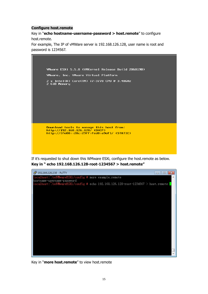#### **Configure host.remote**

Key in "**echo hostname-username-password > host.remote**" to configure host.remote.

For example, The IP of vMWare server is 192.168.126.128, user name is root and password is 1234567.



If it's requested to shut down this WMware ESXi, configure the host.remote as below. **Key in " echo 192.168.126.128-root-1234567 > host.remote"**



Key in "**more host.remote**" to view host.remote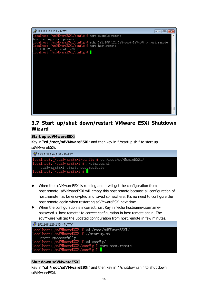

### **3.7 Start up/shut down/restart VMware ESXi Shutdown Wizard**

#### **Start up sdVMwareESXi**

Key in "**cd /root/sdVMwareESXi**" and then key in "./startup.sh " to start up sdVMwareESXi.



- When the sdVMwareESXi is running and it will get the configuration from host.remote. sdVMwareESXi will empty this host.remote because all configuration of host.remote has be encrypted and saved somewhere. It's no need to configure the host.remote again when restarting sdVMwareESXi next time.
- When the configuration is incorrect, just Key in "echo hostname-usernamepassword > host.remote" to correct configuration in host.remote again. The sdVMware will get the updated configuration from host.remote in few minutes.

```
29 192.168.126.130 - PuTTY
start successfully
|<br>|ocalhost: /sdVMwareESXi # cd config/<br>|ocalhost: /sdVMwareESXi/config # more host.remote
.ocalhost:~/sdVMwareESXi/config
```
#### **Shut down sdVMwareESXi**

Key in "**cd /root/sdVMwareESXi**" and then key in "./shutdown.sh " to shut down sdVMwareESXi.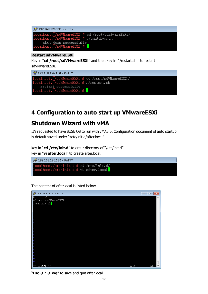| $\mathbb{Z}^2$ 192.168.126.130 - PuTTY            |
|---------------------------------------------------|
| localhost:~/sdVMwareESXi # cd /root/sdVMwareESXi/ |
| localhost: "/sdVMwareESXi # ./shutdown.sh         |
| shut down successfully                            |
| localhost:~/sdVMwareESXi #                        |

#### **Restart sdVMwareESXi**

Key in "**cd /root/sdVMwareESXi**" and then key in "./restart.sh " to restart sdVMwareESXi.

```
£ 192.168.126.130 - PuTTY
restart_successfully
ocalhost:~/sdVMwareESXi #
```
# **4 Configuration to auto start up VMwareESXi**

# **Shutdown Wizard with vMA**

It's requested to have SUSE OS to run with vMA5.5. Configuration document of auto startup is default saved under "/etc/init.d/after.local".

key in "**cd /etc/init.d**" to enter directory of "/etc/init.d" key in "**vi after.local**" to create after.local.



The content of after.local is listed below.